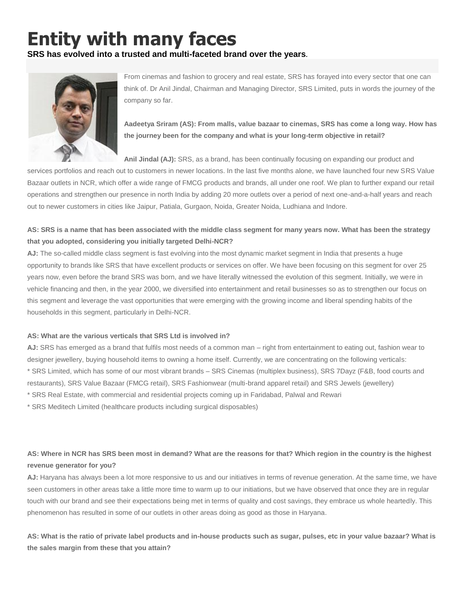# **Entity with many faces**

**SRS has evolved into a trusted and multi-faceted brand over the years.**



From cinemas and fashion to grocery and real estate, SRS has forayed into every sector that one can think of. Dr Anil Jindal, Chairman and Managing Director, SRS Limited, puts in words the journey of the company so far.

**Aadeetya Sriram (AS): From malls, value bazaar to cinemas, SRS has come a long way. How has the journey been for the company and what is your long-term objective in retail?**

**Anil Jindal (AJ):** SRS, as a brand, has been continually focusing on expanding our product and

services portfolios and reach out to customers in newer locations. In the last five months alone, we have launched four new SRS Value Bazaar outlets in NCR, which offer a wide range of FMCG products and brands, all under one roof. We plan to further expand our retail operations and strengthen our presence in north India by adding 20 more outlets over a period of next one-and-a-half years and reach out to newer customers in cities like Jaipur, Patiala, Gurgaon, Noida, Greater Noida, Ludhiana and Indore.

## **AS: SRS is a name that has been associated with the middle class segment for many years now. What has been the strategy that you adopted, considering you initially targeted Delhi-NCR?**

**AJ:** The so-called middle class segment is fast evolving into the most dynamic market segment in India that presents a huge opportunity to brands like SRS that have excellent products or services on offer. We have been focusing on this segment for over 25 years now, even before the brand SRS was born, and we have literally witnessed the evolution of this segment. Initially, we were in vehicle financing and then, in the year 2000, we diversified into entertainment and retail businesses so as to strengthen our focus on this segment and leverage the vast opportunities that were emerging with the growing income and liberal spending habits of the households in this segment, particularly in Delhi-NCR.

### **AS: What are the various verticals that SRS Ltd is involved in?**

**AJ:** SRS has emerged as a brand that fulfils most needs of a common man – right from entertainment to eating out, fashion wear to designer jewellery, buying household items to owning a home itself. Currently, we are concentrating on the following verticals: \* SRS Limited, which has some of our most vibrant brands – SRS Cinemas (multiplex business), SRS 7Dayz (F&B, food courts and restaurants), SRS Value Bazaar (FMCG retail), SRS Fashionwear (multi-brand apparel retail) and SRS Jewels (jewellery) \* SRS Real Estate, with commercial and residential projects coming up in Faridabad, Palwal and Rewari

\* SRS Meditech Limited (healthcare products including surgical disposables)

## **AS: Where in NCR has SRS been most in demand? What are the reasons for that? Which region in the country is the highest revenue generator for you?**

**AJ:** Haryana has always been a lot more responsive to us and our initiatives in terms of revenue generation. At the same time, we have seen customers in other areas take a little more time to warm up to our initiations, but we have observed that once they are in regular touch with our brand and see their expectations being met in terms of quality and cost savings, they embrace us whole heartedly. This phenomenon has resulted in some of our outlets in other areas doing as good as those in Haryana.

**AS: What is the ratio of private label products and in-house products such as sugar, pulses, etc in your value bazaar? What is the sales margin from these that you attain?**